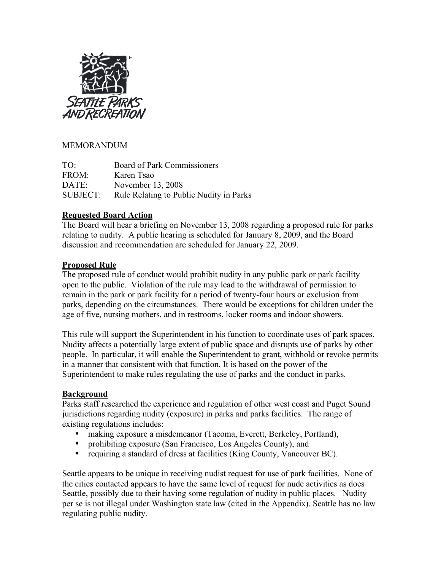

# MEMORANDUM

TO: Board of Park Commissioners FROM: Karen Tsao DATE: November 13, 2008 SUBJECT: Rule Relating to Public Nudity in Parks

#### **Requested Board Action**

The Board will hear a briefing on November 13, 2008 regarding a proposed rule for parks relating to nudity. A public hearing is scheduled for January 8, 2009, and the Board discussion and recommendation are scheduled for January 22, 2009.

# **Proposed Rule**

The proposed rule of conduct would prohibit nudity in any public park or park facility open to the public. Violation of the rule may lead to the withdrawal of permission to remain in the park or park facility for a period of twenty-four hours or exclusion from parks, depending on the circumstances. There would be exceptions for children under the age of five, nursing mothers, and in restrooms, locker rooms and indoor showers.

This rule will support the Superintendent in his function to coordinate uses of park spaces. Nudity affects a potentially large extent of public space and disrupts use of parks by other people. In particular, it will enable the Superintendent to grant, withhold or revoke permits in a manner that consistent with that function. It is based on the power of the Superintendent to make rules regulating the use of parks and the conduct in parks.

# **Background**

Parks staff researched the experience and regulation of other west coast and Puget Sound jurisdictions regarding nudity (exposure) in parks and parks facilities. The range of existing regulations includes:

- making exposure a misdemeanor (Tacoma, Everett, Berkeley, Portland),
- prohibiting exposure (San Francisco, Los Angeles County), and
- requiring a standard of dress at facilities (King County, Vancouver BC).

Seattle appears to be unique in receiving nudist request for use of park facilities. None of the cities contacted appears to have the same level of request for nude activities as does Seattle, possibly due to their having some regulation of nudity in public places. Nudity per se is not illegal under Washington state law (cited in the Appendix). Seattle has no law regulating public nudity.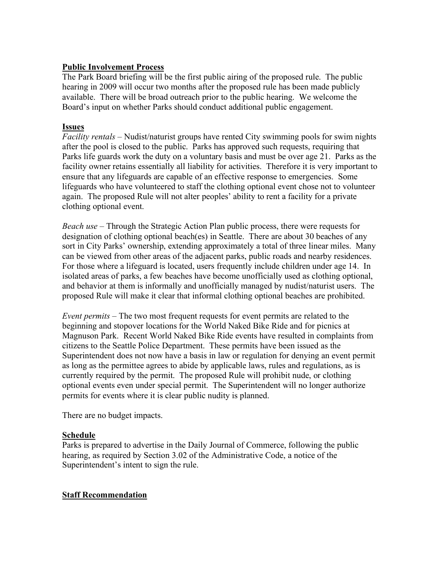# **Public Involvement Process**

The Park Board briefing will be the first public airing of the proposed rule. The public hearing in 2009 will occur two months after the proposed rule has been made publicly available. There will be broad outreach prior to the public hearing. We welcome the Board's input on whether Parks should conduct additional public engagement.

# **Issues**

*Facility rentals* – Nudist/naturist groups have rented City swimming pools for swim nights after the pool is closed to the public. Parks has approved such requests, requiring that Parks life guards work the duty on a voluntary basis and must be over age 21. Parks as the facility owner retains essentially all liability for activities. Therefore it is very important to ensure that any lifeguards are capable of an effective response to emergencies. Some lifeguards who have volunteered to staff the clothing optional event chose not to volunteer again. The proposed Rule will not alter peoples' ability to rent a facility for a private clothing optional event.

*Beach use* – Through the Strategic Action Plan public process, there were requests for designation of clothing optional beach(es) in Seattle. There are about 30 beaches of any sort in City Parks' ownership, extending approximately a total of three linear miles. Many can be viewed from other areas of the adjacent parks, public roads and nearby residences. For those where a lifeguard is located, users frequently include children under age 14. In isolated areas of parks, a few beaches have become unofficially used as clothing optional, and behavior at them is informally and unofficially managed by nudist/naturist users. The proposed Rule will make it clear that informal clothing optional beaches are prohibited.

*Event permits* – The two most frequent requests for event permits are related to the beginning and stopover locations for the World Naked Bike Ride and for picnics at Magnuson Park. Recent World Naked Bike Ride events have resulted in complaints from citizens to the Seattle Police Department. These permits have been issued as the Superintendent does not now have a basis in law or regulation for denying an event permit as long as the permittee agrees to abide by applicable laws, rules and regulations, as is currently required by the permit. The proposed Rule will prohibit nude, or clothing optional events even under special permit. The Superintendent will no longer authorize permits for events where it is clear public nudity is planned.

There are no budget impacts.

# **Schedule**

Parks is prepared to advertise in the Daily Journal of Commerce, following the public hearing, as required by Section 3.02 of the Administrative Code, a notice of the Superintendent's intent to sign the rule.

# **Staff Recommendation**